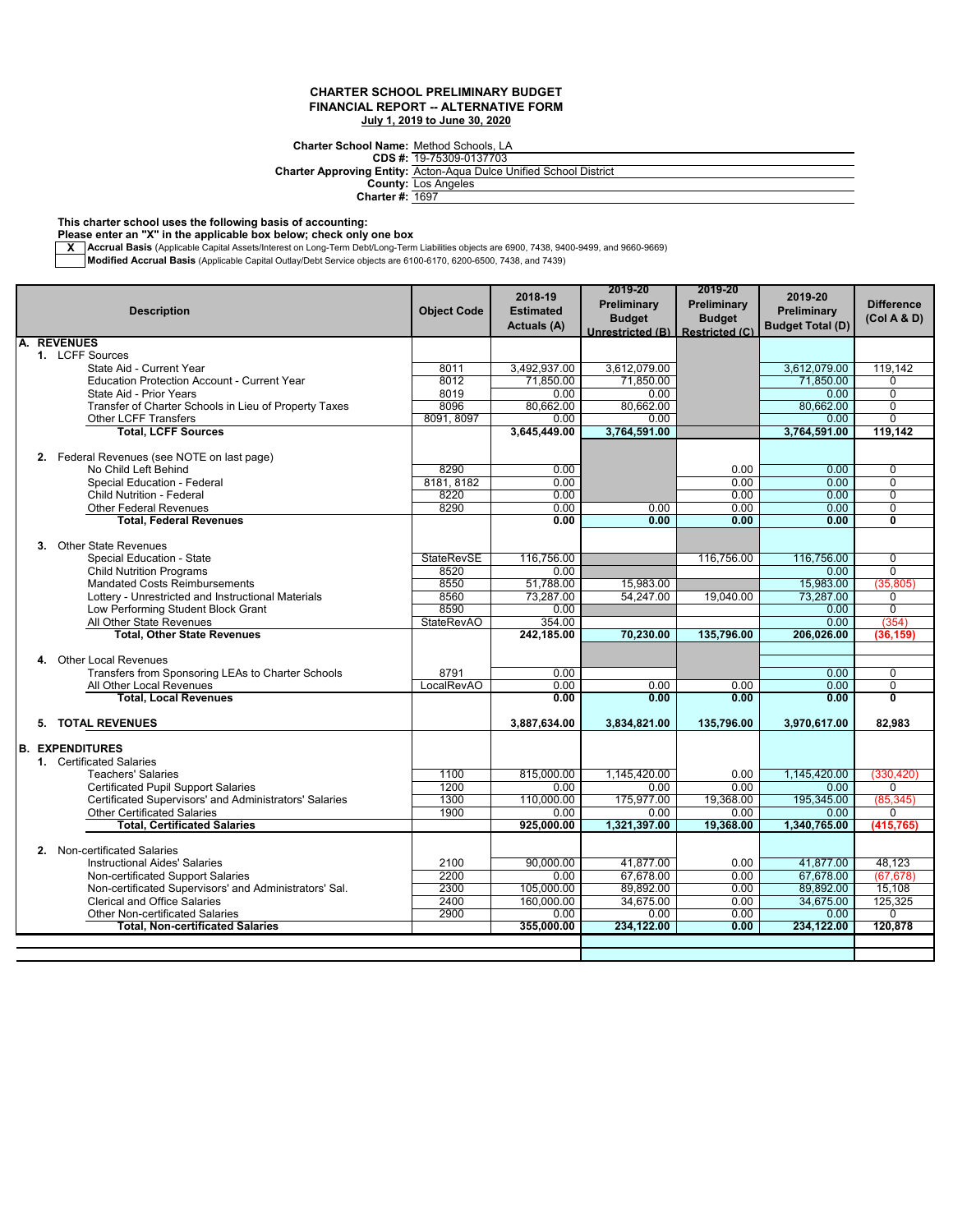**Charter School Name:** Method Schools, LA 19-75309-0137703

**CDS #:**

**Charter Approving Entity:** Acton-Aqua Dulce Unified School District

> **County: Charter #:** Los Angeles 1697

**This charter school uses the following basis of accounting:**

**Please enter an "X" in the applicable box below; check only one box**

**X \_\_Accrual Basis** (Applicable Capital Assets/Interest on Long-Term Debt/Long-Term Liabilities objects are 6900, 7438, 9400-9499, and 9660-9669)<br>Mo**dified Accrual Basis** (Applicable Capital Outlay/Debt Service objects are

|    |                                                                                              |                    | 2018-19              | 2019-20            | 2019-20               | 2019-20                 |                         |
|----|----------------------------------------------------------------------------------------------|--------------------|----------------------|--------------------|-----------------------|-------------------------|-------------------------|
|    | <b>Description</b>                                                                           | <b>Object Code</b> | <b>Estimated</b>     | Preliminary        | Preliminary           | Preliminary             | <b>Difference</b>       |
|    |                                                                                              |                    | <b>Actuals (A)</b>   | <b>Budget</b>      | <b>Budget</b>         | <b>Budget Total (D)</b> | (Col A & D)             |
|    | A. REVENUES                                                                                  |                    |                      | Unrestricted (B)   | <b>Restricted (C)</b> |                         |                         |
|    | 1. LCFF Sources                                                                              |                    |                      |                    |                       |                         |                         |
|    | State Aid - Current Year                                                                     | 8011               | 3,492,937.00         | 3,612,079.00       |                       | 3,612,079.00            | 119.142                 |
|    | <b>Education Protection Account - Current Year</b>                                           | 8012               | 71,850.00            | 71.850.00          |                       | 71.850.00               | $\Omega$                |
|    | State Aid - Prior Years                                                                      | 8019               | 0.00                 | 0.00               |                       | 0.00                    | $\overline{0}$          |
|    | Transfer of Charter Schools in Lieu of Property Taxes                                        | 8096               | 80,662.00            | 80,662.00          |                       | 80,662.00               | $\mathbf 0$             |
|    | Other LCFF Transfers                                                                         | 8091, 8097         | 0.00                 | 0.00               |                       | 0.00                    | $\overline{0}$          |
|    | <b>Total, LCFF Sources</b>                                                                   |                    | 3,645,449.00         | 3,764,591.00       |                       | 3,764,591.00            | 119,142                 |
|    |                                                                                              |                    |                      |                    |                       |                         |                         |
|    | 2. Federal Revenues (see NOTE on last page)                                                  |                    |                      |                    |                       |                         |                         |
|    | No Child Left Behind                                                                         | 8290               | 0.00                 |                    | 0.00                  | 0.00                    | 0                       |
|    | Special Education - Federal                                                                  | 8181, 8182         | 0.00                 |                    | 0.00                  | 0.00                    | $\overline{0}$          |
|    | <b>Child Nutrition - Federal</b>                                                             | 8220               | 0.00                 |                    | 0.00                  | 0.00                    | $\overline{0}$          |
|    | <b>Other Federal Revenues</b>                                                                | 8290               | 0.00                 | 0.00               | 0.00                  | 0.00                    | $\overline{0}$          |
|    | <b>Total, Federal Revenues</b>                                                               |                    | 0.00                 | 0.00               | 0.00                  | 0.00                    | $\overline{\mathbf{0}}$ |
|    |                                                                                              |                    |                      |                    |                       |                         |                         |
| 3. | <b>Other State Revenues</b>                                                                  |                    |                      |                    |                       |                         |                         |
|    | Special Education - State                                                                    | <b>StateRevSE</b>  | 116,756.00           |                    | 116,756.00            | 116,756.00              | $\mathbf 0$             |
|    | <b>Child Nutrition Programs</b>                                                              | 8520               | 0.00                 |                    |                       | 0.00                    | $\Omega$                |
|    | <b>Mandated Costs Reimbursements</b>                                                         | 8550               | 51,788.00            | 15,983.00          |                       | 15,983.00               | (35, 805)               |
|    | Lottery - Unrestricted and Instructional Materials                                           | 8560               | 73,287.00            | 54,247.00          | 19,040.00             | 73,287.00               | $\overline{0}$          |
|    | Low Performing Student Block Grant                                                           | 8590               | 0.00                 |                    |                       | 0.00                    | 0                       |
|    | All Other State Revenues<br><b>Total, Other State Revenues</b>                               | <b>StateRevAO</b>  | 354.00<br>242,185.00 | 70.230.00          | 135.796.00            | 0.00<br>206.026.00      | (354)<br>(36.159        |
|    |                                                                                              |                    |                      |                    |                       |                         |                         |
|    | 4. Other Local Revenues                                                                      |                    |                      |                    |                       |                         |                         |
|    | Transfers from Sponsoring LEAs to Charter Schools                                            | 8791               | 0.00                 |                    |                       | 0.00                    | $\mathbf 0$             |
|    | All Other Local Revenues                                                                     | LocalRevAO         | 0.00                 | 0.00               | 0.00                  | 0.00                    | $\mathbf 0$             |
|    | <b>Total, Local Revenues</b>                                                                 |                    | 0.00                 | 0.00               | 0.00                  | 0.00                    | $\overline{\mathbf{0}}$ |
|    |                                                                                              |                    |                      |                    |                       |                         |                         |
| 5. | <b>TOTAL REVENUES</b>                                                                        |                    | 3,887,634.00         | 3,834,821.00       | 135,796.00            | 3,970,617.00            | 82,983                  |
|    |                                                                                              |                    |                      |                    |                       |                         |                         |
|    | <b>B. EXPENDITURES</b>                                                                       |                    |                      |                    |                       |                         |                         |
|    | 1. Certificated Salaries                                                                     |                    |                      |                    |                       |                         |                         |
|    | <b>Teachers' Salaries</b>                                                                    | 1100               | 815,000.00           | 1,145,420.00       | 0.00                  | 1,145,420.00            | (330, 420)              |
|    | <b>Certificated Pupil Support Salaries</b>                                                   | 1200               | 0.00                 | 0.00               | 0.00                  | 0.00                    | $\Omega$                |
|    | Certificated Supervisors' and Administrators' Salaries<br><b>Other Certificated Salaries</b> | 1300<br>1900       | 110,000.00<br>0.00   | 175,977.00<br>0.00 | 19,368.00<br>0.00     | 195,345.00<br>0.00      | (85, 345)<br>$\Omega$   |
|    | <b>Total, Certificated Salaries</b>                                                          |                    | 925,000.00           | 1,321,397.00       | 19,368.00             | 1,340,765.00            | (415,765                |
|    |                                                                                              |                    |                      |                    |                       |                         |                         |
| 2. | Non-certificated Salaries                                                                    |                    |                      |                    |                       |                         |                         |
|    | <b>Instructional Aides' Salaries</b>                                                         | 2100               | 90,000.00            | 41.877.00          | 0.00                  | 41.877.00               | 48.123                  |
|    | Non-certificated Support Salaries                                                            | 2200               | 0.00                 | 67.678.00          | 0.00                  | 67.678.00               | (67.678)                |
|    | Non-certificated Supervisors' and Administrators' Sal.                                       | 2300               | 105,000.00           | 89,892.00          | 0.00                  | 89,892.00               | 15,108                  |
|    | <b>Clerical and Office Salaries</b>                                                          | 2400               | 160,000.00           | 34,675.00          | 0.00                  | 34,675.00               | 125,325                 |
|    | <b>Other Non-certificated Salaries</b>                                                       | 2900               | 0.00                 | 0.00               | 0.00                  | 0.00                    | 0                       |
|    | <b>Total, Non-certificated Salaries</b>                                                      |                    | 355,000.00           | 234,122.00         | 0.00                  | 234,122.00              | 120.878                 |
|    |                                                                                              |                    |                      |                    |                       |                         |                         |
|    |                                                                                              |                    |                      |                    |                       |                         |                         |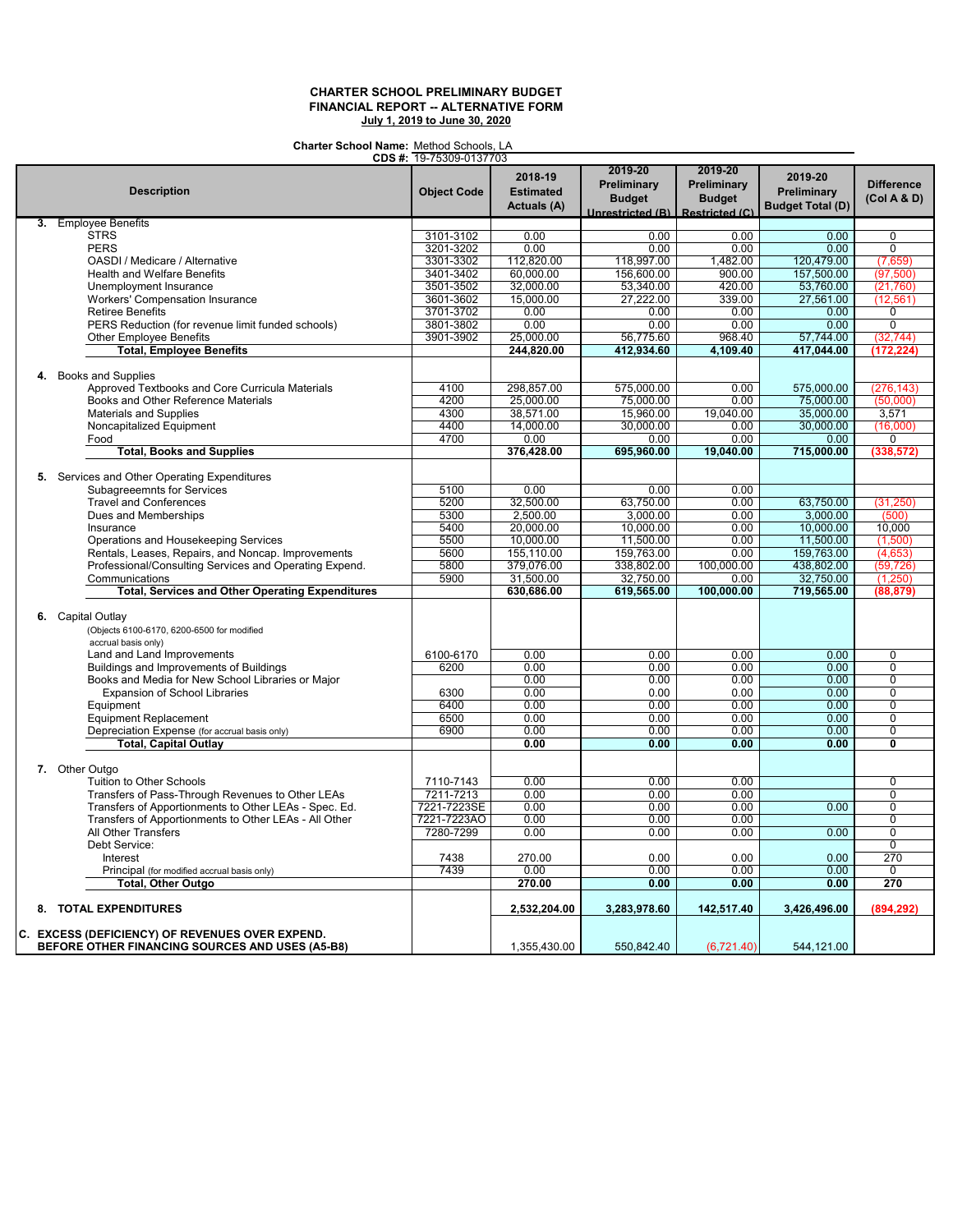**Charter School Name:** Method Schools, LA

|                                                                                        | CDS #: 19-75309-0137703 |                                            |                                                             |                                                                  |                                                   |                                  |
|----------------------------------------------------------------------------------------|-------------------------|--------------------------------------------|-------------------------------------------------------------|------------------------------------------------------------------|---------------------------------------------------|----------------------------------|
| <b>Description</b>                                                                     | <b>Object Code</b>      | 2018-19<br><b>Estimated</b><br>Actuals (A) | 2019-20<br>Preliminary<br><b>Budget</b><br>Unrestricted (B) | 2019-20<br>Preliminary<br><b>Budget</b><br><b>Restricted (C)</b> | 2019-20<br>Preliminary<br><b>Budget Total (D)</b> | <b>Difference</b><br>(Col A & D) |
| <b>Employee Benefits</b><br>3.                                                         |                         |                                            |                                                             |                                                                  |                                                   |                                  |
| <b>STRS</b>                                                                            | 3101-3102               | 0.00                                       | 0.00                                                        | 0.00                                                             | 0.00                                              | $\overline{0}$                   |
| <b>PERS</b>                                                                            | 3201-3202               | 0.00                                       | 0.00                                                        | 0.00                                                             | 0.00                                              | $\overline{0}$                   |
| OASDI / Medicare / Alternative                                                         | 3301-3302               | 112,820.00                                 | 118,997.00                                                  | 1,482.00                                                         | 120,479.00                                        | (7,659)                          |
| <b>Health and Welfare Benefits</b>                                                     | 3401-3402               | 60,000.00                                  | 156,600.00                                                  | 900.00                                                           | 157,500.00                                        | (97, 500)                        |
| Unemployment Insurance                                                                 | 3501-3502               | 32,000.00                                  | 53,340.00                                                   | 420.00                                                           | 53,760.00                                         | (21,760)                         |
|                                                                                        |                         |                                            |                                                             |                                                                  |                                                   |                                  |
| Workers' Compensation Insurance                                                        | 3601-3602               | 15,000.00                                  | 27,222.00                                                   | 339.00                                                           | 27,561.00                                         | (12, 561)                        |
| <b>Retiree Benefits</b>                                                                | 3701-3702               | 0.00                                       | 0.00                                                        | 0.00                                                             | 0.00                                              | 0                                |
| PERS Reduction (for revenue limit funded schools)                                      | 3801-3802               | 0.00                                       | 0.00                                                        | 0.00                                                             | 0.00                                              | $\mathbf 0$                      |
| <b>Other Employee Benefits</b>                                                         | 3901-3902               | 25,000.00                                  | 56,775.60                                                   | 968.40                                                           | 57,744.00                                         | (32, 744)                        |
| <b>Total, Employee Benefits</b>                                                        |                         | 244,820.00                                 | 412,934.60                                                  | 4,109.40                                                         | 417,044.00                                        | (172, 224)                       |
| 4. Books and Supplies                                                                  |                         |                                            |                                                             |                                                                  |                                                   |                                  |
| Approved Textbooks and Core Curricula Materials                                        | 4100                    | 298,857.00                                 | 575,000.00                                                  | 0.00                                                             | 575,000.00                                        | (276, 143)                       |
| Books and Other Reference Materials                                                    | 4200                    | 25,000.00                                  | 75,000.00                                                   | 0.00                                                             | 75,000.00                                         | (50,000)                         |
| <b>Materials and Supplies</b>                                                          | 4300                    | 38,571.00                                  | 15,960.00                                                   | 19,040.00                                                        | 35,000.00                                         | 3,571                            |
|                                                                                        |                         |                                            |                                                             |                                                                  |                                                   |                                  |
| Noncapitalized Equipment                                                               | 4400                    | 14,000.00                                  | 30,000.00                                                   | 0.00                                                             | 30,000.00                                         | (16,000)                         |
| Food                                                                                   | 4700                    | 0.00                                       | 0.00                                                        | 0.00                                                             | 0.00                                              | 0                                |
| <b>Total, Books and Supplies</b>                                                       |                         | 376,428.00                                 | 695,960.00                                                  | 19.040.00                                                        | 715,000.00                                        | (338, 572)                       |
| 5. Services and Other Operating Expenditures                                           |                         |                                            |                                                             |                                                                  |                                                   |                                  |
| <b>Subagreeemnts for Services</b>                                                      | 5100                    | 0.00                                       | 0.00                                                        | 0.00                                                             |                                                   |                                  |
| <b>Travel and Conferences</b>                                                          | 5200                    | 32,500.00                                  | 63,750.00                                                   | 0.00                                                             | 63,750.00                                         | (31, 250)                        |
| Dues and Memberships                                                                   | 5300                    | 2,500.00                                   | 3,000.00                                                    | 0.00                                                             | 3,000.00                                          | (500)                            |
| Insurance                                                                              | 5400                    | 20.000.00                                  | 10,000.00                                                   | 0.00                                                             | 10,000.00                                         | 10.000                           |
|                                                                                        |                         |                                            |                                                             |                                                                  |                                                   |                                  |
| Operations and Housekeeping Services                                                   | 5500                    | 10,000.00                                  | 11,500.00                                                   | 0.00                                                             | 11,500.00                                         | (1,500)                          |
| Rentals, Leases, Repairs, and Noncap. Improvements                                     | 5600                    | 155,110.00                                 | 159,763.00                                                  | 0.00                                                             | 159,763.00                                        | (4,653)                          |
| Professional/Consulting Services and Operating Expend.                                 | 5800                    | 379,076.00                                 | 338,802.00                                                  | 100,000.00                                                       | 438,802.00                                        | (59, 726)                        |
| Communications                                                                         | 5900                    | 31,500.00                                  | 32,750.00                                                   | 0.00                                                             | 32,750.00                                         | (1,250)                          |
| <b>Total, Services and Other Operating Expenditures</b>                                |                         | 630,686.00                                 | 619,565.00                                                  | 100,000.00                                                       | 719,565.00                                        | (88, 879)                        |
|                                                                                        |                         |                                            |                                                             |                                                                  |                                                   |                                  |
| 6. Capital Outlay<br>(Objects 6100-6170, 6200-6500 for modified<br>accrual basis only) |                         |                                            |                                                             |                                                                  |                                                   |                                  |
| Land and Land Improvements                                                             | 6100-6170               | 0.00                                       | 0.00                                                        | 0.00                                                             | 0.00                                              | $\mathbf 0$                      |
| Buildings and Improvements of Buildings                                                | 6200                    | 0.00                                       | 0.00                                                        | 0.00                                                             | 0.00                                              | $\mathbf 0$                      |
| Books and Media for New School Libraries or Major                                      |                         | 0.00                                       | 0.00                                                        | 0.00                                                             | 0.00                                              | $\overline{0}$                   |
| <b>Expansion of School Libraries</b>                                                   | 6300                    | 0.00                                       | 0.00                                                        | 0.00                                                             | 0.00                                              | $\overline{0}$                   |
| Equipment                                                                              | 6400                    | 0.00                                       | 0.00                                                        | 0.00                                                             | 0.00                                              | $\overline{0}$                   |
| <b>Equipment Replacement</b>                                                           | 6500                    | 0.00                                       | 0.00                                                        | 0.00                                                             | 0.00                                              | 0                                |
| Depreciation Expense (for accrual basis only)                                          | 6900                    | 0.00                                       | 0.00                                                        | 0.00                                                             | 0.00                                              | $\overline{0}$                   |
| <b>Total, Capital Outlay</b>                                                           |                         | 0.00                                       | 0.00                                                        | 0.00                                                             | 0.00                                              | $\overline{\mathfrak{o}}$        |
|                                                                                        |                         |                                            |                                                             |                                                                  |                                                   |                                  |
| 7. Other Outgo                                                                         |                         |                                            |                                                             |                                                                  |                                                   |                                  |
| Tuition to Other Schools                                                               | 7110-7143               | 0.00                                       | 0.00                                                        | 0.00                                                             |                                                   | $\overline{0}$                   |
| Transfers of Pass-Through Revenues to Other LEAs                                       | 7211-7213               | 0.00                                       | 0.00                                                        | 0.00                                                             |                                                   | $\overline{0}$                   |
| Transfers of Apportionments to Other LEAs - Spec. Ed.                                  | 7221-7223SE             | 0.00                                       | 0.00                                                        | 0.00                                                             | 0.00                                              | $\overline{0}$                   |
| Transfers of Apportionments to Other LEAs - All Other                                  | 7221-7223AO             | 0.00                                       | 0.00                                                        | 0.00                                                             |                                                   | $\mathbf 0$                      |
| All Other Transfers                                                                    | 7280-7299               | 0.00                                       | 0.00                                                        | 0.00                                                             | 0.00                                              | $\mathbf 0$                      |
| Debt Service:                                                                          |                         |                                            |                                                             |                                                                  |                                                   | $\overline{0}$                   |
| Interest                                                                               | 7438                    | 270.00                                     | 0.00                                                        | 0.00                                                             | 0.00                                              | 270                              |
|                                                                                        | 7439                    | 0.00                                       | 0.00                                                        | 0.00                                                             | 0.00                                              | $\mathbf 0$                      |
| Principal (for modified accrual basis only)                                            |                         |                                            |                                                             |                                                                  |                                                   |                                  |
| <b>Total, Other Outgo</b>                                                              |                         | 270.00                                     | 0.00                                                        | 0.00                                                             | 0.00                                              | 270                              |
| 8. TOTAL EXPENDITURES                                                                  |                         | 2,532,204.00                               | 3,283,978.60                                                | 142,517.40                                                       | 3,426,496.00                                      | (894, 292)                       |
| C. EXCESS (DEFICIENCY) OF REVENUES OVER EXPEND.                                        |                         |                                            |                                                             |                                                                  |                                                   |                                  |
| BEFORE OTHER FINANCING SOURCES AND USES (A5-B8)                                        |                         | 1,355,430.00                               | 550,842.40                                                  | (6,721.40)                                                       | 544,121.00                                        |                                  |
|                                                                                        |                         |                                            |                                                             |                                                                  |                                                   |                                  |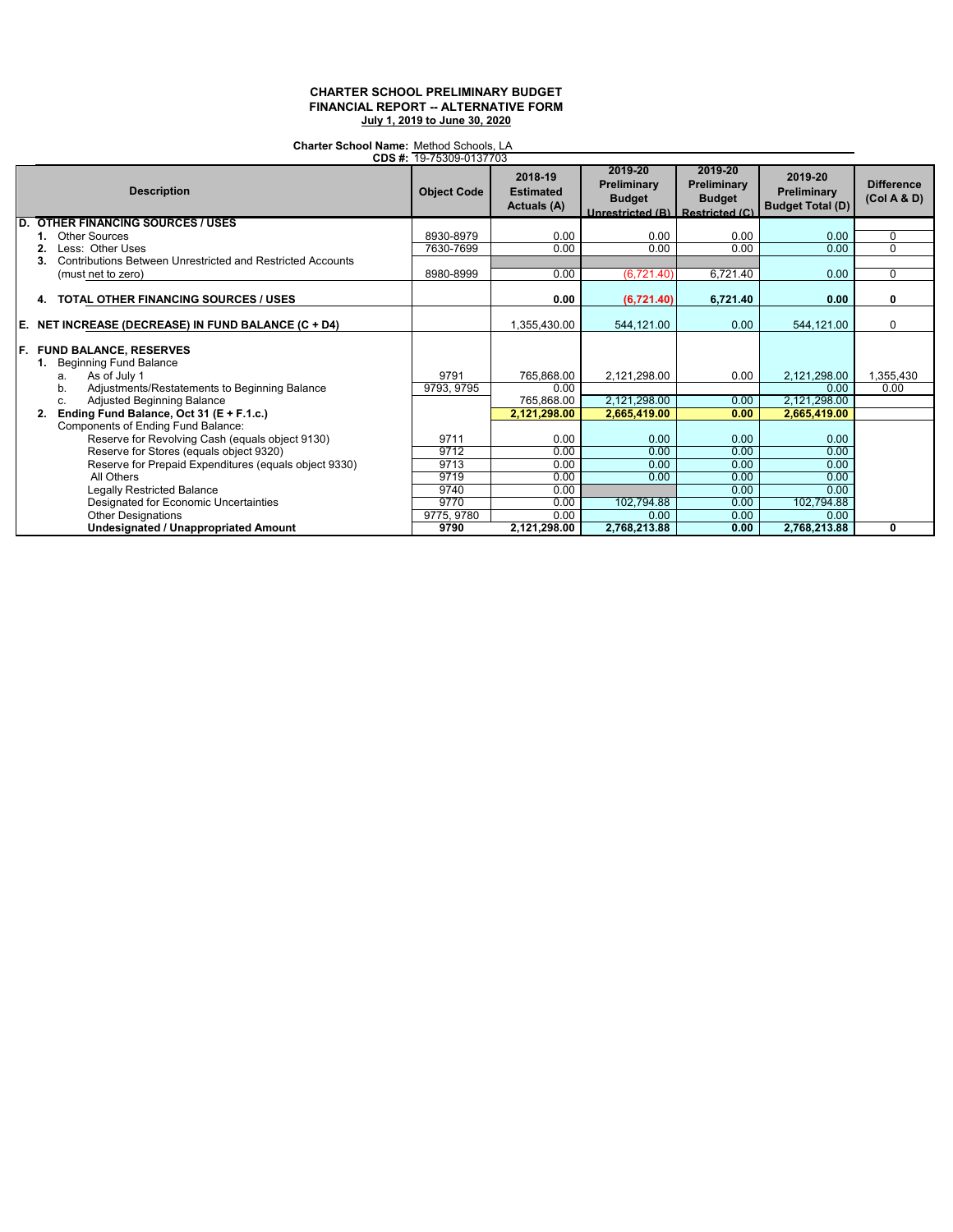**Charter School Name:** Method Schools, LA 19-75309-0137703

| CDS #: 19-75309-0137703 |                                                                  |                    |                                            |                                                                              |                                         |                                                   |                                  |
|-------------------------|------------------------------------------------------------------|--------------------|--------------------------------------------|------------------------------------------------------------------------------|-----------------------------------------|---------------------------------------------------|----------------------------------|
|                         | <b>Description</b>                                               | <b>Object Code</b> | 2018-19<br><b>Estimated</b><br>Actuals (A) | 2019-20<br>Preliminary<br><b>Budget</b><br>Unrestricted (B)   Restricted (C) | 2019-20<br>Preliminary<br><b>Budget</b> | 2019-20<br>Preliminary<br><b>Budget Total (D)</b> | <b>Difference</b><br>(Col A & D) |
| D.                      | <b>OTHER FINANCING SOURCES / USES</b>                            |                    |                                            |                                                                              |                                         |                                                   |                                  |
|                         | Other Sources                                                    | 8930-8979          | 0.00                                       | 0.00                                                                         | 0.00                                    | 0.00                                              | 0                                |
|                         | Less: Other Uses                                                 | 7630-7699          | 0.00                                       | 0.00                                                                         | 0.00                                    | 0.00                                              | 0                                |
|                         | Contributions Between Unrestricted and Restricted Accounts<br>3. |                    |                                            |                                                                              |                                         |                                                   |                                  |
|                         | (must net to zero)                                               | 8980-8999          | 0.00                                       | (6,721.40)                                                                   | 6,721.40                                | 0.00                                              | 0                                |
|                         | <b>TOTAL OTHER FINANCING SOURCES / USES</b><br>4.                |                    | 0.00                                       | (6,721.40)                                                                   | 6,721.40                                | 0.00                                              | 0                                |
|                         | E. NET INCREASE (DECREASE) IN FUND BALANCE $(C + D4)$            |                    | 1.355.430.00                               | 544,121.00                                                                   | 0.00                                    | 544,121.00                                        | 0                                |
|                         | F. FUND BALANCE, RESERVES<br><b>Beginning Fund Balance</b><br>1. |                    |                                            |                                                                              |                                         |                                                   |                                  |
|                         | As of July 1<br>a.                                               | 9791               | 765.868.00                                 | 2,121,298.00                                                                 | 0.00                                    | 2,121,298.00                                      | 1,355,430                        |
|                         | Adjustments/Restatements to Beginning Balance<br>b.              | 9793, 9795         | 0.00                                       |                                                                              |                                         | 0.00                                              | 0.00                             |
|                         | Adjusted Beginning Balance<br>C.                                 |                    | 765,868.00                                 | 2,121,298.00                                                                 | 0.00                                    | 2,121,298.00                                      |                                  |
|                         | Ending Fund Balance, Oct 31 (E + F.1.c.)<br>2.                   |                    | 2,121,298.00                               | 2,665,419.00                                                                 | 0.00                                    | 2,665,419.00                                      |                                  |
|                         | Components of Ending Fund Balance:                               |                    |                                            |                                                                              |                                         |                                                   |                                  |
|                         | Reserve for Revolving Cash (equals object 9130)                  | 9711               | 0.00                                       | 0.00                                                                         | 0.00                                    | 0.00                                              |                                  |
|                         | Reserve for Stores (equals object 9320)                          | 9712               | 0.00                                       | 0.00                                                                         | 0.00                                    | 0.00                                              |                                  |
|                         | Reserve for Prepaid Expenditures (equals object 9330)            | 9713               | 0.00                                       | 0.00                                                                         | 0.00                                    | 0.00                                              |                                  |
|                         | All Others                                                       | 9719               | 0.00                                       | 0.00                                                                         | 0.00                                    | 0.00                                              |                                  |
|                         | Legally Restricted Balance                                       | 9740               | 0.00                                       |                                                                              | 0.00                                    | 0.00                                              |                                  |
|                         | Designated for Economic Uncertainties                            | 9770               | 0.00                                       | 102,794.88                                                                   | 0.00                                    | 102,794.88                                        |                                  |
|                         | <b>Other Designations</b>                                        | 9775, 9780         | 0.00                                       | 0.00                                                                         | 0.00                                    | 0.00                                              |                                  |
|                         | <b>Undesignated / Unappropriated Amount</b>                      | 9790               | 2,121,298.00                               | 2,768,213.88                                                                 | 0.00                                    | 2,768,213.88                                      | 0                                |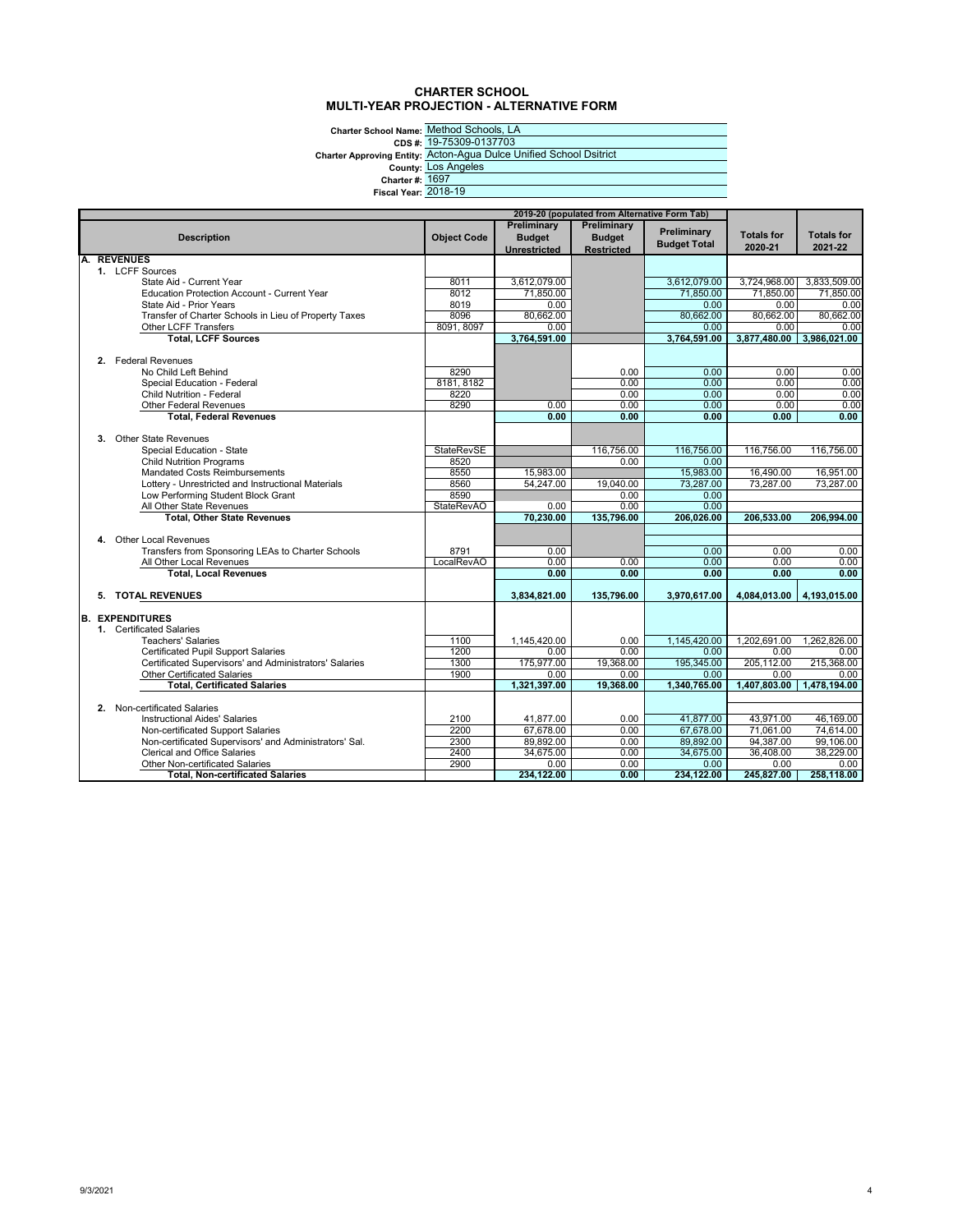## **CHARTER SCHOOL MULTI-YEAR PROJECTION - ALTERNATIVE FORM**

Charter School Name: <u>Method</u><br>CDS #: <u>19-7530</u><br>Charter Approving Entity: <u>Lots And</u><br>County: <u>Lots And</u><br>Charter #: <u>1697</u><br>Fiscal Year: <u>2018-19</u>

Method Schools, LA 19-75309-0137703 Acton-Agua Dulce Unified School Dsitrict Los Angeles 1697

|    | 2019-20 (populated from Alternative Form Tab) |                                                                                            |                           |                        |                    |                     |                              |                              |
|----|-----------------------------------------------|--------------------------------------------------------------------------------------------|---------------------------|------------------------|--------------------|---------------------|------------------------------|------------------------------|
|    |                                               |                                                                                            |                           | Preliminary            | Preliminary        | Preliminary         |                              |                              |
|    |                                               | <b>Description</b>                                                                         | <b>Object Code</b>        | <b>Budget</b>          | <b>Budget</b>      | <b>Budget Total</b> | <b>Totals for</b><br>2020-21 | <b>Totals for</b><br>2021-22 |
| A. |                                               | <b>REVENUES</b>                                                                            |                           | <b>Unrestricted</b>    | <b>Restricted</b>  |                     |                              |                              |
|    |                                               | 1. LCFF Sources                                                                            |                           |                        |                    |                     |                              |                              |
|    |                                               | State Aid - Current Year                                                                   | 8011                      | 3,612,079.00           |                    | 3.612.079.00        | 3,724,968.00                 | 3.833.509.00                 |
|    |                                               | <b>Education Protection Account - Current Year</b>                                         | 8012                      | 71,850.00              |                    | 71,850.00           | 71,850.00                    | 71,850.00                    |
|    |                                               | State Aid - Prior Years                                                                    | 8019                      | 0.00                   |                    | 0.00                | 0.00                         | 0.00                         |
|    |                                               | Transfer of Charter Schools in Lieu of Property Taxes                                      | 8096                      | 80.662.00              |                    | 80,662.00           | 80.662.00                    | 80.662.00                    |
|    |                                               | Other LCFF Transfers                                                                       | 8091, 8097                | 0.00                   |                    | 0.00                | 0.00                         | 0.00                         |
|    |                                               | <b>Total, LCFF Sources</b>                                                                 |                           | 3,764,591.00           |                    | 3,764,591.00        | 3,877,480.00                 | 3,986,021.00                 |
|    |                                               |                                                                                            |                           |                        |                    |                     |                              |                              |
|    |                                               | 2. Federal Revenues                                                                        |                           |                        |                    |                     |                              |                              |
|    |                                               | No Child Left Behind                                                                       | 8290                      |                        | 0.00               | 0.00                | 0.00                         | 0.00                         |
|    |                                               | Special Education - Federal                                                                | 8181, 8182                |                        | 0.00               | 0.00                | 0.00                         | 0.00                         |
|    |                                               | <b>Child Nutrition - Federal</b>                                                           | 8220                      |                        | 0.00               | 0.00                | 0.00                         | 0.00                         |
|    |                                               | <b>Other Federal Revenues</b>                                                              | 8290                      | 0.00                   | 0.00               | 0.00                | 0.00                         | 0.00                         |
|    |                                               | <b>Total, Federal Revenues</b>                                                             |                           | 0.00                   | 0.00               | 0.00                | 0.00                         | 0.00                         |
|    |                                               |                                                                                            |                           |                        |                    |                     |                              |                              |
|    |                                               | 3. Other State Revenues                                                                    |                           |                        |                    |                     |                              |                              |
|    |                                               | Special Education - State                                                                  | <b>StateRevSE</b><br>8520 |                        | 116,756.00<br>0.00 | 116,756.00<br>0.00  | 116,756.00                   | 116,756.00                   |
|    |                                               | <b>Child Nutrition Programs</b>                                                            | 8550                      |                        |                    | 15.983.00           |                              | 16,951.00                    |
|    |                                               | <b>Mandated Costs Reimbursements</b><br>Lottery - Unrestricted and Instructional Materials | 8560                      | 15,983.00<br>54,247.00 | 19,040.00          | 73,287.00           | 16,490.00<br>73,287.00       | 73,287.00                    |
|    |                                               | Low Performing Student Block Grant                                                         | 8590                      |                        | 0.00               | 0.00                |                              |                              |
|    |                                               | All Other State Revenues                                                                   | StateRevAO                | 0.00                   | 0.00               | 0.00                |                              |                              |
|    |                                               | <b>Total, Other State Revenues</b>                                                         |                           | 70,230.00              | 135,796.00         | 206,026.00          | 206,533.00                   | 206,994.00                   |
|    |                                               |                                                                                            |                           |                        |                    |                     |                              |                              |
|    |                                               | 4. Other Local Revenues                                                                    |                           |                        |                    |                     |                              |                              |
|    |                                               | Transfers from Sponsoring LEAs to Charter Schools                                          | 8791                      | 0.00                   |                    | 0.00                | 0.00                         | 0.00                         |
|    |                                               | All Other Local Revenues                                                                   | <b>LocalRevAO</b>         | 0.00                   | 0.00               | 0.00                | 0.00                         | 0.00                         |
|    |                                               | <b>Total, Local Revenues</b>                                                               |                           | 0.00                   | 0.00               | 0.00                | 0.00                         | 0.00                         |
|    |                                               |                                                                                            |                           |                        |                    |                     |                              |                              |
|    |                                               | 5. TOTAL REVENUES                                                                          |                           | 3.834.821.00           | 135,796.00         | 3,970,617.00        | 4,084,013.00                 | 4,193,015.00                 |
|    |                                               | <b>EXPENDITURES</b>                                                                        |                           |                        |                    |                     |                              |                              |
| B. |                                               | 1. Certificated Salaries                                                                   |                           |                        |                    |                     |                              |                              |
|    |                                               | <b>Teachers' Salaries</b>                                                                  | 1100                      | 1,145,420.00           | 0.00               | 1.145.420.00        | 1,202,691.00                 | 1,262,826.00                 |
|    |                                               | <b>Certificated Pupil Support Salaries</b>                                                 | 1200                      | 0.00                   | 0.00               | 0.00                | 0.00                         | 0.00                         |
|    |                                               | Certificated Supervisors' and Administrators' Salaries                                     | 1300                      | 175,977.00             | 19,368.00          | 195,345.00          | 205,112.00                   | 215,368.00                   |
|    |                                               | <b>Other Certificated Salaries</b>                                                         | 1900                      | 0.00                   | 0.00               | 0.00                | 0.00                         | 0.00                         |
|    |                                               | <b>Total, Certificated Salaries</b>                                                        |                           | 1.321.397.00           | 19.368.00          | 1,340,765.00        | 1.407.803.00                 | 1.478.194.00                 |
|    |                                               |                                                                                            |                           |                        |                    |                     |                              |                              |
|    |                                               | 2. Non-certificated Salaries                                                               |                           |                        |                    |                     |                              |                              |
|    |                                               | <b>Instructional Aides' Salaries</b>                                                       | 2100                      | 41,877.00              | 0.00               | 41.877.00           | 43,971.00                    | 46.169.00                    |
|    |                                               | Non-certificated Support Salaries                                                          | 2200                      | 67,678.00              | 0.00               | 67,678.00           | 71.061.00                    | 74.614.00                    |
|    |                                               | Non-certificated Supervisors' and Administrators' Sal.                                     | 2300                      | 89,892.00              | 0.00               | 89,892.00           | 94,387.00                    | 99,106.00                    |
|    |                                               | Clerical and Office Salaries                                                               | 2400                      | 34,675.00              | 0.00               | 34,675.00           | 36,408.00                    | 38,229.00                    |
|    |                                               | <b>Other Non-certificated Salaries</b>                                                     | 2900                      | 0.00                   | 0.00               | 0.00                | 0.00                         | 0.00                         |
|    |                                               | <b>Total. Non-certificated Salaries</b>                                                    |                           | 234,122.00             | 0.00               | 234,122.00          | 245,827.00                   | 258,118.00                   |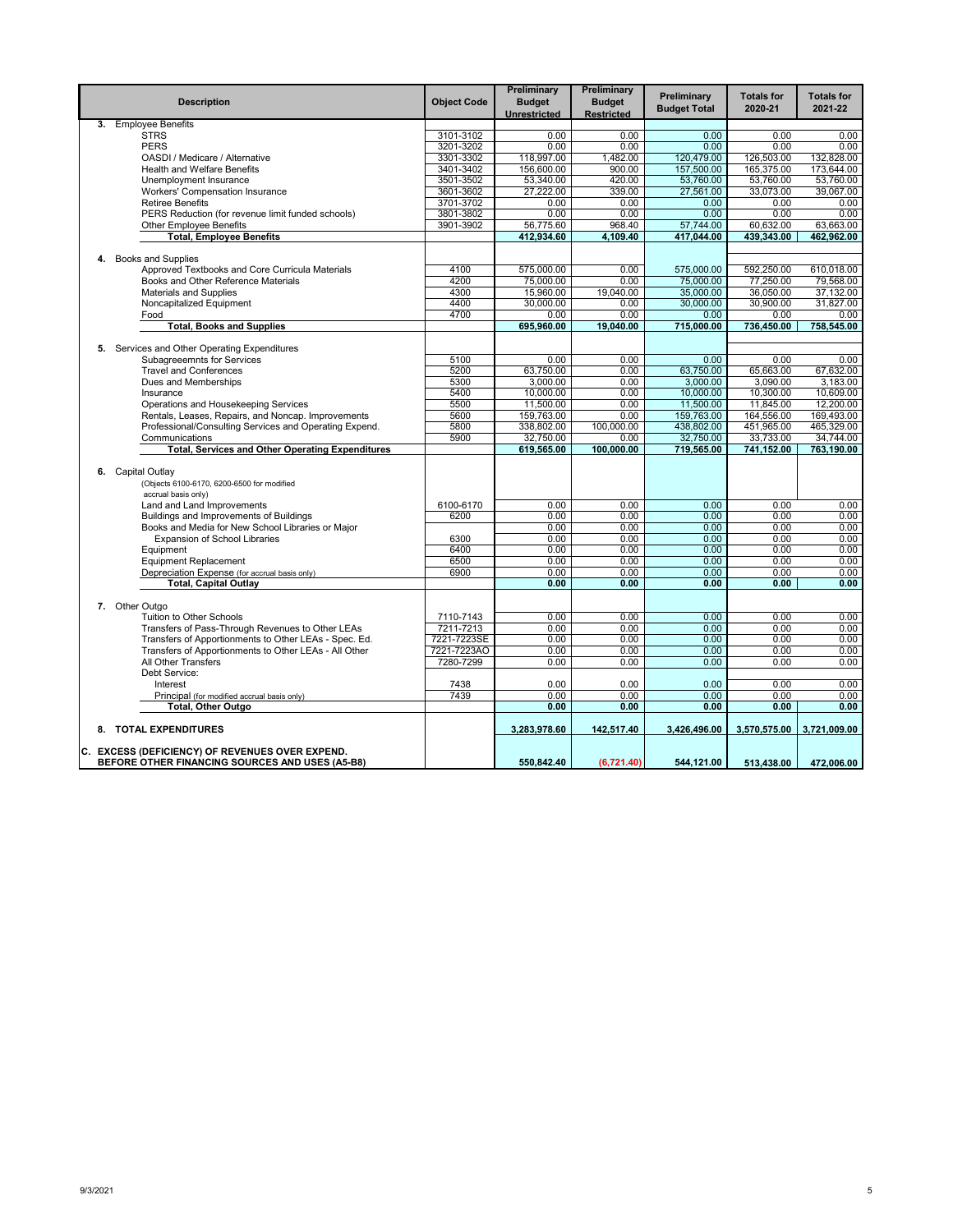|    | <b>Description</b>                                                | <b>Object Code</b> | Preliminary<br><b>Budget</b><br>Unrestricted | Preliminary<br><b>Budget</b><br><b>Restricted</b> | Preliminary<br><b>Budget Total</b> | <b>Totals for</b><br>2020-21 | <b>Totals for</b><br>2021-22 |
|----|-------------------------------------------------------------------|--------------------|----------------------------------------------|---------------------------------------------------|------------------------------------|------------------------------|------------------------------|
| 3. | <b>Employee Benefits</b>                                          |                    |                                              |                                                   |                                    |                              |                              |
|    | <b>STRS</b>                                                       | 3101-3102          | 0.00                                         | 0.00                                              | 0.00                               | 0.00                         | 0.00                         |
|    | <b>PERS</b>                                                       | 3201-3202          | 0.00                                         | 0.00                                              | 0.00                               | 0.00                         | 0.00                         |
|    | OASDI / Medicare / Alternative                                    | 3301-3302          | 118,997.00                                   | 1,482.00                                          | 120,479.00                         | 126,503.00                   | 132,828.00                   |
|    | <b>Health and Welfare Benefits</b>                                | 3401-3402          | 156,600.00                                   | 900.00                                            | 157.500.00                         | 165,375.00                   | 173.644.00                   |
|    | Unemployment Insurance                                            | 3501-3502          | 53,340.00                                    | 420.00                                            | 53,760.00                          | 53,760.00                    | 53,760.00                    |
|    | Workers' Compensation Insurance                                   | 3601-3602          | 27,222.00                                    | 339.00                                            | 27,561.00                          | 33,073.00                    | 39,067.00                    |
|    | <b>Retiree Benefits</b>                                           | 3701-3702          | 0.00                                         | 0.00                                              | 0.00                               | 0.00                         | 0.00                         |
|    | PERS Reduction (for revenue limit funded schools)                 | 3801-3802          | 0.00                                         | 0.00                                              | 0.00                               | 0.00                         | 0.00                         |
|    | <b>Other Employee Benefits</b><br><b>Total, Employee Benefits</b> | 3901-3902          | 56,775.60<br>412,934.60                      | 968.40<br>4,109.40                                | 57.744.00<br>417,044.00            | 60,632.00<br>439,343.00      | 63,663.00<br>462,962.00      |
|    |                                                                   |                    |                                              |                                                   |                                    |                              |                              |
| 4. | <b>Books and Supplies</b>                                         |                    |                                              |                                                   |                                    |                              |                              |
|    | Approved Textbooks and Core Curricula Materials                   | 4100               | 575,000.00                                   | 0.00                                              | 575,000.00                         | 592,250.00                   | 610.018.00                   |
|    | Books and Other Reference Materials                               | 4200               | 75,000.00                                    | 0.00                                              | 75,000.00                          | 77,250.00                    | 79,568.00                    |
|    | <b>Materials and Supplies</b>                                     | 4300               | 15,960.00                                    | 19,040.00                                         | 35,000.00                          | 36,050.00                    | 37,132.00                    |
|    | Noncapitalized Equipment                                          | 4400               | 30.000.00                                    | 0.00                                              | 30,000.00                          | 30,900.00                    | 31.827.00                    |
|    | Food                                                              | 4700               | 0.00                                         | 0.00                                              | 0.00                               | 0.00                         | 0.00                         |
|    | <b>Total, Books and Supplies</b>                                  |                    | 695,960.00                                   | 19,040.00                                         | 715,000.00                         | 736,450.00                   | 758,545.00                   |
|    |                                                                   |                    |                                              |                                                   |                                    |                              |                              |
|    | 5. Services and Other Operating Expenditures                      |                    |                                              |                                                   |                                    |                              |                              |
|    | Subagreeemnts for Services                                        | 5100               | 0.00                                         | 0.00                                              | 0.00                               | 0.00                         | 0.00                         |
|    | <b>Travel and Conferences</b>                                     | 5200               | 63,750.00                                    | 0.00                                              | 63,750.00                          | 65,663.00                    | 67,632.00                    |
|    | Dues and Memberships                                              | 5300               | 3.000.00                                     | 0.00                                              | 3.000.00                           | 3.090.00                     | 3.183.00                     |
|    | Insurance                                                         | 5400               | 10,000.00                                    | 0.00                                              | 10,000.00                          | 10,300.00                    | 10.609.00                    |
|    | Operations and Housekeeping Services                              | 5500               | 11,500.00                                    | 0.00                                              | 11,500.00                          | 11,845.00                    | 12,200.00                    |
|    | Rentals, Leases, Repairs, and Noncap. Improvements                | 5600               | 159,763.00                                   | 0.00                                              | 159,763.00                         | 164,556.00                   | 169,493.00                   |
|    | Professional/Consulting Services and Operating Expend.            | 5800               | 338,802.00                                   | 100.000.00                                        | 438.802.00                         | 451,965.00                   | 465,329.00                   |
|    | Communications                                                    | 5900               | 32,750.00                                    | 0.00                                              | 32,750.00                          | 33,733.00                    | 34.744.00                    |
|    | <b>Total, Services and Other Operating Expenditures</b>           |                    | 619,565.00                                   | 100,000.00                                        | 719,565.00                         | 741,152.00                   | 763,190.00                   |
|    |                                                                   |                    |                                              |                                                   |                                    |                              |                              |
| 6. | Capital Outlay                                                    |                    |                                              |                                                   |                                    |                              |                              |
|    | (Objects 6100-6170, 6200-6500 for modified                        |                    |                                              |                                                   |                                    |                              |                              |
|    | accrual basis only)                                               |                    |                                              |                                                   |                                    |                              |                              |
|    | Land and Land Improvements                                        | 6100-6170          | 0.00                                         | 0.00                                              | 0.00                               | 0.00                         | 0.00                         |
|    | Buildings and Improvements of Buildings                           | 6200               | 0.00                                         | 0.00                                              | 0.00                               | 0.00                         | 0.00                         |
|    | Books and Media for New School Libraries or Major                 |                    | 0.00                                         | 0.00                                              | 0.00                               | 0.00                         | 0.00                         |
|    | <b>Expansion of School Libraries</b>                              | 6300               | 0.00                                         | 0.00                                              | 0.00                               | 0.00                         | 0.00                         |
|    | Equipment                                                         | 6400               | 0.00                                         | 0.00                                              | 0.00                               | 0.00                         | 0.00                         |
|    | <b>Equipment Replacement</b>                                      | 6500               | 0.00                                         | 0.00                                              | 0.00                               | 0.00                         | 0.00                         |
|    | Depreciation Expense (for accrual basis only)                     | 6900               | 0.00                                         | 0.00                                              | 0.00                               | 0.00                         | 0.00                         |
|    | <b>Total, Capital Outlay</b>                                      |                    | 0.00                                         | 0.00                                              | 0.00                               | 0.00                         | 0.00                         |
|    |                                                                   |                    |                                              |                                                   |                                    |                              |                              |
|    | 7. Other Outgo                                                    |                    |                                              |                                                   |                                    |                              |                              |
|    | Tuition to Other Schools                                          | 7110-7143          | 0.00                                         | 0.00                                              | 0.00                               | 0.00                         | 0.00                         |
|    | Transfers of Pass-Through Revenues to Other LEAs                  | 7211-7213          | 0.00                                         | 0.00                                              | 0.00                               | 0.00                         | 0.00                         |
|    | Transfers of Apportionments to Other LEAs - Spec. Ed.             | 7221-7223SE        | 0.00                                         | 0.00                                              | 0.00                               | 0.00                         | 0.00                         |
|    | Transfers of Apportionments to Other LEAs - All Other             | 7221-7223AO        | 0.00                                         | 0.00                                              | 0.00                               | 0.00                         | 0.00                         |
|    | All Other Transfers                                               | 7280-7299          | 0.00                                         | 0.00                                              | 0.00                               | 0.00                         | 0.00                         |
|    | Debt Service:                                                     |                    |                                              |                                                   |                                    |                              |                              |
|    | Interest                                                          | 7438               | 0.00                                         | 0.00                                              | 0.00                               | 0.00                         | 0.00                         |
|    | Principal (for modified accrual basis only)                       | 7439               | 0.00<br>0.00                                 | 0.00                                              | 0.00                               | 0.00                         | 0.00<br>0.00                 |
|    | Total, Other Outgo                                                |                    |                                              | 0.00                                              | 0.00                               | 0.00                         |                              |
|    | 8. TOTAL EXPENDITURES                                             |                    | 3,283,978.60                                 | 142,517.40                                        | 3,426,496.00                       | 3,570,575.00                 | 3,721,009.00                 |
|    | C. EXCESS (DEFICIENCY) OF REVENUES OVER EXPEND.                   |                    |                                              |                                                   |                                    |                              |                              |
|    | BEFORE OTHER FINANCING SOURCES AND USES (A5-B8)                   |                    | 550,842.40                                   | (6,721.40)                                        | 544,121.00                         | 513,438.00                   | 472,006.00                   |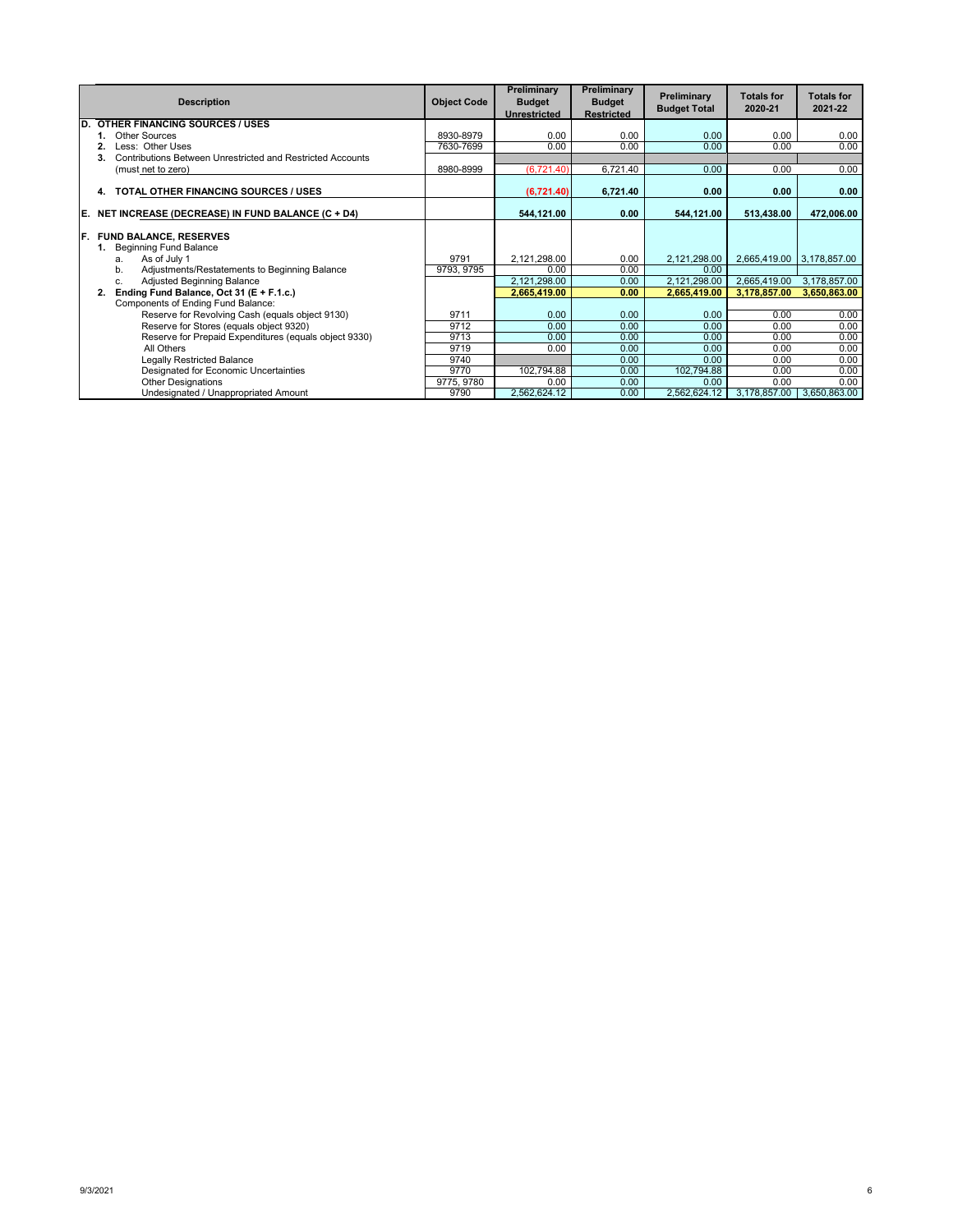|    | <b>Description</b>                                               | <b>Object Code</b> | Preliminary<br><b>Budget</b> | Preliminary<br><b>Budget</b> | Preliminary<br><b>Budget Total</b> | <b>Totals for</b><br>2020-21 | <b>Totals for</b><br>2021-22 |
|----|------------------------------------------------------------------|--------------------|------------------------------|------------------------------|------------------------------------|------------------------------|------------------------------|
|    |                                                                  |                    | <b>Unrestricted</b>          | <b>Restricted</b>            |                                    |                              |                              |
| D. | <b>OTHER FINANCING SOURCES / USES</b>                            |                    |                              |                              |                                    |                              |                              |
|    | Other Sources                                                    | 8930-8979          | 0.00                         | 0.00                         | 0.00                               | 0.00                         | 0.00                         |
|    | Less: Other Uses                                                 | 7630-7699          | 0.00                         | 0.00                         | 0.00                               | 0.00                         | 0.00                         |
|    | Contributions Between Unrestricted and Restricted Accounts<br>3. |                    |                              |                              |                                    |                              |                              |
|    | (must net to zero)                                               | 8980-8999          | (6,721.40)                   | 6,721.40                     | 0.00                               | 0.00                         | 0.00                         |
|    |                                                                  |                    |                              |                              |                                    |                              |                              |
|    | <b>TOTAL OTHER FINANCING SOURCES / USES</b><br>4.                |                    | (6,721.40)                   | 6,721.40                     | 0.00                               | 0.00                         | 0.00                         |
| E. | NET INCREASE (DECREASE) IN FUND BALANCE (C + D4)                 |                    | 544,121.00                   | 0.00                         | 544,121.00                         | 513,438.00                   | 472,006.00                   |
|    |                                                                  |                    |                              |                              |                                    |                              |                              |
| F. | <b>FUND BALANCE, RESERVES</b>                                    |                    |                              |                              |                                    |                              |                              |
|    | <b>Beginning Fund Balance</b>                                    |                    |                              |                              |                                    |                              |                              |
|    | As of July 1<br>a.                                               | 9791               | 2,121,298.00                 | 0.00                         | 2,121,298.00                       | 2,665,419.00                 | 3,178,857.00                 |
|    | Adjustments/Restatements to Beginning Balance<br>b.              | 9793, 9795         | 0.00                         | 0.00                         | 0.00                               |                              |                              |
|    | <b>Adjusted Beginning Balance</b><br>c.                          |                    | 2,121,298.00                 | 0.00                         | 2,121,298.00                       | 2,665,419.00                 | 3,178,857.00                 |
|    | Ending Fund Balance, Oct 31 (E + F.1.c.)                         |                    | 2,665,419.00                 | 0.00                         | 2,665,419.00                       | 3,178,857.00                 | 3,650,863.00                 |
|    | Components of Ending Fund Balance:                               |                    |                              |                              |                                    |                              |                              |
|    | Reserve for Revolving Cash (equals object 9130)                  | 9711               | 0.00                         | 0.00                         | 0.00                               | 0.00                         | 0.00                         |
|    | Reserve for Stores (equals object 9320)                          | 9712               | 0.00                         | 0.00                         | 0.00                               | 0.00                         | 0.00                         |
|    | Reserve for Prepaid Expenditures (equals object 9330)            | 9713               | 0.00                         | 0.00                         | 0.00                               | 0.00                         | 0.00                         |
|    | All Others                                                       | 9719               | 0.00                         | 0.00                         | 0.00                               | 0.00                         | 0.00                         |
|    | <b>Legally Restricted Balance</b>                                | 9740               |                              | 0.00                         | 0.00                               | 0.00                         | 0.00                         |
|    | Designated for Economic Uncertainties                            | 9770               | 102,794.88                   | 0.00                         | 102,794.88                         | 0.00                         | 0.00                         |
|    | <b>Other Designations</b>                                        | 9775, 9780         | 0.00                         | 0.00                         | 0.00                               | 0.00                         | 0.00                         |
|    | Undesignated / Unappropriated Amount                             | 9790               | 2,562,624.12                 | 0.00                         | 2,562,624.12                       | 3,178,857.00                 | 3,650,863.00                 |